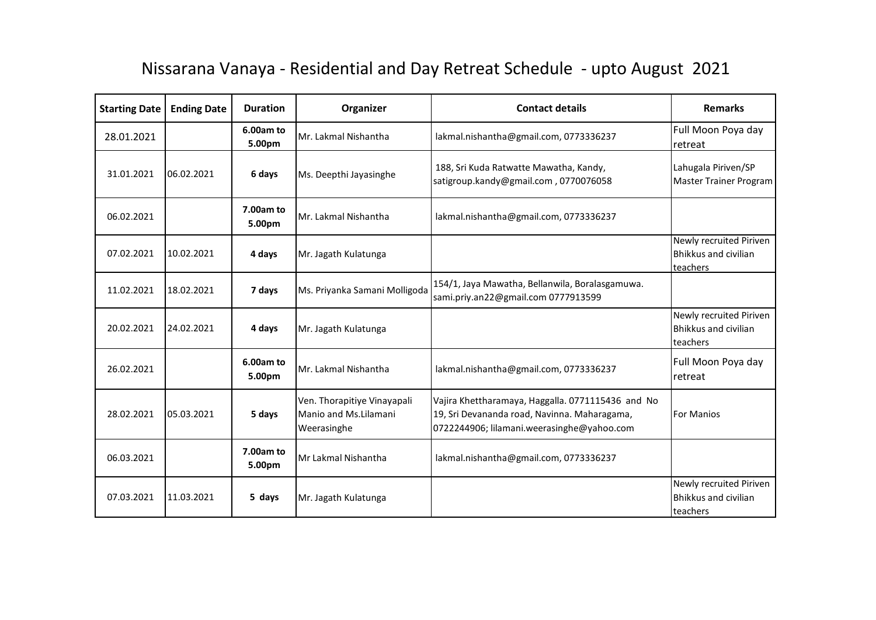## Nissarana Vanaya - Residential and Day Retreat Schedule - upto August 2021

| <b>Starting Date</b> | <b>Ending Date</b> | <b>Duration</b>     | Organizer                                                           | <b>Contact details</b>                                                                                                                          | <b>Remarks</b>                                                     |
|----------------------|--------------------|---------------------|---------------------------------------------------------------------|-------------------------------------------------------------------------------------------------------------------------------------------------|--------------------------------------------------------------------|
| 28.01.2021           |                    | 6.00am to<br>5.00pm | Mr. Lakmal Nishantha                                                | lakmal.nishantha@gmail.com, 0773336237                                                                                                          | Full Moon Poya day<br>retreat                                      |
| 31.01.2021           | 06.02.2021         | 6 days              | Ms. Deepthi Jayasinghe                                              | 188, Sri Kuda Ratwatte Mawatha, Kandy,<br>satigroup.kandy@gmail.com, 0770076058                                                                 | Lahugala Piriven/SP<br><b>Master Trainer Program</b>               |
| 06.02.2021           |                    | 7.00am to<br>5.00pm | Mr. Lakmal Nishantha                                                | lakmal.nishantha@gmail.com, 0773336237                                                                                                          |                                                                    |
| 07.02.2021           | 10.02.2021         | 4 days              | Mr. Jagath Kulatunga                                                |                                                                                                                                                 | Newly recruited Piriven<br><b>Bhikkus and civilian</b><br>teachers |
| 11.02.2021           | 18.02.2021         | 7 days              | Ms. Priyanka Samani Molligoda                                       | 154/1, Jaya Mawatha, Bellanwila, Boralasgamuwa.<br>sami.priy.an22@gmail.com 0777913599                                                          |                                                                    |
| 20.02.2021           | 24.02.2021         | 4 days              | Mr. Jagath Kulatunga                                                |                                                                                                                                                 | Newly recruited Piriven<br><b>Bhikkus and civilian</b><br>teachers |
| 26.02.2021           |                    | 6.00am to<br>5.00pm | Mr. Lakmal Nishantha                                                | lakmal.nishantha@gmail.com, 0773336237                                                                                                          | Full Moon Poya day<br>retreat                                      |
| 28.02.2021           | 05.03.2021         | 5 days              | Ven. Thorapitiye Vinayapali<br>Manio and Ms.Lilamani<br>Weerasinghe | Vajira Khettharamaya, Haggalla. 0771115436 and No<br>19, Sri Devananda road, Navinna. Maharagama,<br>0722244906; lilamani.weerasinghe@yahoo.com | <b>For Manios</b>                                                  |
| 06.03.2021           |                    | 7.00am to<br>5.00pm | Mr Lakmal Nishantha                                                 | lakmal.nishantha@gmail.com, 0773336237                                                                                                          |                                                                    |
| 07.03.2021           | 11.03.2021         | 5 days              | Mr. Jagath Kulatunga                                                |                                                                                                                                                 | Newly recruited Piriven<br><b>Bhikkus and civilian</b><br>teachers |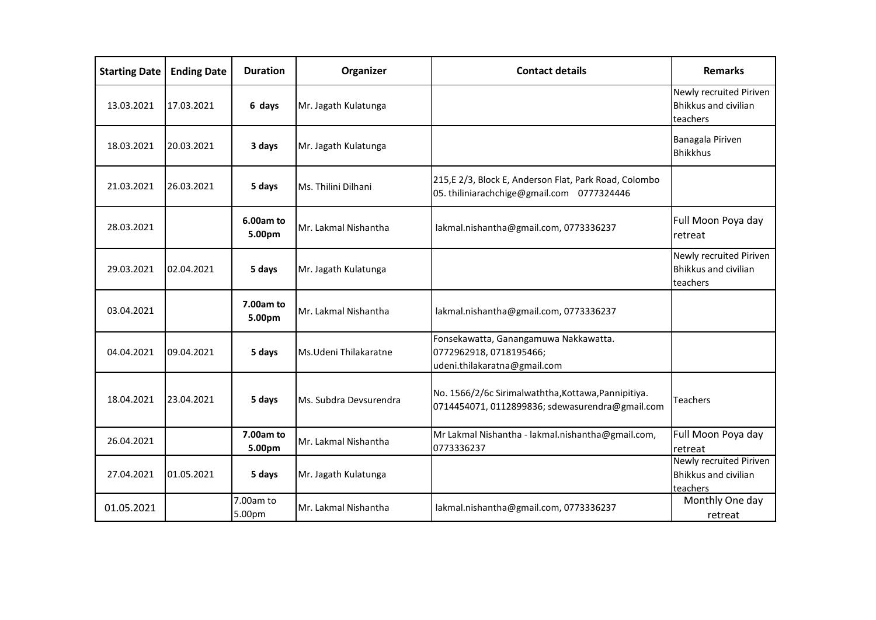| <b>Starting Date</b> | <b>Ending Date</b> | <b>Duration</b>     | Organizer              | <b>Contact details</b>                                                                                 | <b>Remarks</b>                                                     |
|----------------------|--------------------|---------------------|------------------------|--------------------------------------------------------------------------------------------------------|--------------------------------------------------------------------|
| 13.03.2021           | 17.03.2021         | 6 days              | Mr. Jagath Kulatunga   |                                                                                                        | Newly recruited Piriven<br>Bhikkus and civilian<br>teachers        |
| 18.03.2021           | 20.03.2021         | 3 days              | Mr. Jagath Kulatunga   |                                                                                                        | Banagala Piriven<br><b>Bhikkhus</b>                                |
| 21.03.2021           | 26.03.2021         | 5 days              | Ms. Thilini Dilhani    | 215,E 2/3, Block E, Anderson Flat, Park Road, Colombo<br>05. thiliniarachchige@gmail.com 0777324446    |                                                                    |
| 28.03.2021           |                    | 6.00am to<br>5.00pm | Mr. Lakmal Nishantha   | lakmal.nishantha@gmail.com, 0773336237                                                                 | Full Moon Poya day<br>retreat                                      |
| 29.03.2021           | 02.04.2021         | 5 days              | Mr. Jagath Kulatunga   |                                                                                                        | Newly recruited Piriven<br>Bhikkus and civilian<br>teachers        |
| 03.04.2021           |                    | 7.00am to<br>5.00pm | Mr. Lakmal Nishantha   | lakmal.nishantha@gmail.com, 0773336237                                                                 |                                                                    |
| 04.04.2021           | 09.04.2021         | 5 days              | Ms.Udeni Thilakaratne  | Fonsekawatta, Ganangamuwa Nakkawatta.<br>0772962918, 0718195466;<br>udeni.thilakaratna@gmail.com       |                                                                    |
| 18.04.2021           | 23.04.2021         | 5 days              | Ms. Subdra Devsurendra | No. 1566/2/6c Sirimalwaththa, Kottawa, Pannipitiya.<br>0714454071, 0112899836; sdewasurendra@gmail.com | <b>Teachers</b>                                                    |
| 26.04.2021           |                    | 7.00am to<br>5.00pm | Mr. Lakmal Nishantha   | Mr Lakmal Nishantha - lakmal.nishantha@gmail.com,<br>0773336237                                        | Full Moon Poya day<br>retreat                                      |
| 27.04.2021           | 01.05.2021         | 5 days              | Mr. Jagath Kulatunga   |                                                                                                        | Newly recruited Piriven<br><b>Bhikkus and civilian</b><br>teachers |
| 01.05.2021           |                    | 7.00am to<br>5.00pm | Mr. Lakmal Nishantha   | lakmal.nishantha@gmail.com, 0773336237                                                                 | Monthly One day<br>retreat                                         |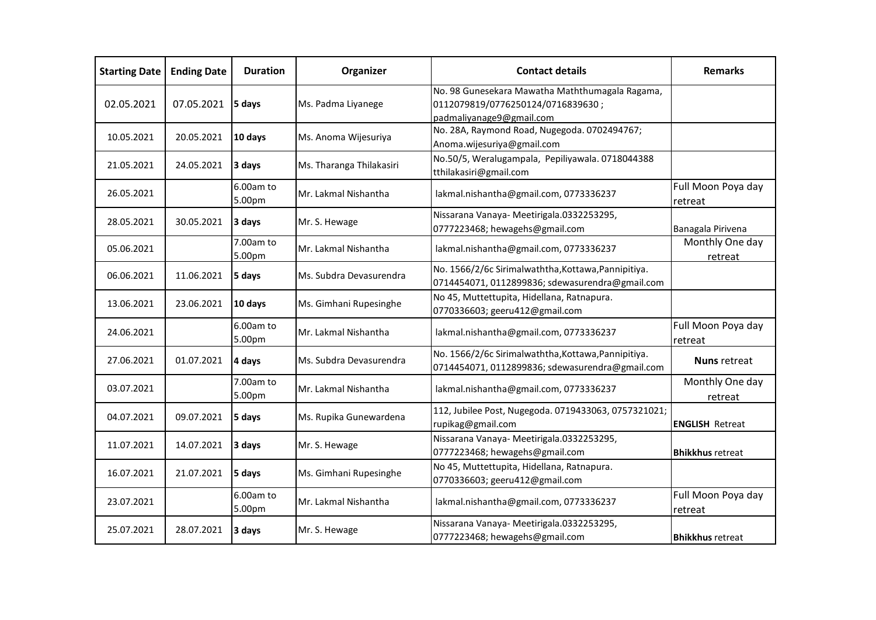| <b>Starting Date</b> | <b>Ending Date</b> | <b>Duration</b>     | Organizer                | <b>Contact details</b>                                                                                           | <b>Remarks</b>                |
|----------------------|--------------------|---------------------|--------------------------|------------------------------------------------------------------------------------------------------------------|-------------------------------|
| 02.05.2021           | 07.05.2021         | 5 days              | Ms. Padma Liyanege       | No. 98 Gunesekara Mawatha Maththumagala Ragama,<br>0112079819/0776250124/0716839630;<br>padmaliyanage9@gmail.com |                               |
| 10.05.2021           | 20.05.2021         | 10 days             | Ms. Anoma Wijesuriya     | No. 28A, Raymond Road, Nugegoda. 0702494767;<br>Anoma.wijesuriya@gmail.com                                       |                               |
| 21.05.2021           | 24.05.2021         | 3 days              | Ms. Tharanga Thilakasiri | No.50/5, Weralugampala, Pepiliyawala. 0718044388<br>tthilakasiri@gmail.com                                       |                               |
| 26.05.2021           |                    | 6.00am to<br>5.00pm | Mr. Lakmal Nishantha     | lakmal.nishantha@gmail.com, 0773336237                                                                           | Full Moon Poya day<br>retreat |
| 28.05.2021           | 30.05.2021         | 3 days              | Mr. S. Hewage            | Nissarana Vanaya- Meetirigala.0332253295,<br>0777223468; hewagehs@gmail.com                                      | Banagala Pirivena             |
| 05.06.2021           |                    | 7.00am to<br>5.00pm | Mr. Lakmal Nishantha     | lakmal.nishantha@gmail.com, 0773336237                                                                           | Monthly One day<br>retreat    |
| 06.06.2021           | 11.06.2021         | 5 days              | Ms. Subdra Devasurendra  | No. 1566/2/6c Sirimalwaththa, Kottawa, Pannipitiya.<br>0714454071, 0112899836; sdewasurendra@gmail.com           |                               |
| 13.06.2021           | 23.06.2021         | 10 days             | Ms. Gimhani Rupesinghe   | No 45, Muttettupita, Hidellana, Ratnapura.<br>0770336603; geeru412@gmail.com                                     |                               |
| 24.06.2021           |                    | 6.00am to<br>5.00pm | Mr. Lakmal Nishantha     | lakmal.nishantha@gmail.com, 0773336237                                                                           | Full Moon Poya day<br>retreat |
| 27.06.2021           | 01.07.2021         | 4 days              | Ms. Subdra Devasurendra  | No. 1566/2/6c Sirimalwaththa, Kottawa, Pannipitiya.<br>0714454071, 0112899836; sdewasurendra@gmail.com           | <b>Nuns</b> retreat           |
| 03.07.2021           |                    | 7.00am to<br>5.00pm | Mr. Lakmal Nishantha     | lakmal.nishantha@gmail.com, 0773336237                                                                           | Monthly One day<br>retreat    |
| 04.07.2021           | 09.07.2021         | 5 days              | Ms. Rupika Gunewardena   | 112, Jubilee Post, Nugegoda. 0719433063, 0757321021;<br>rupikag@gmail.com                                        | <b>ENGLISH Retreat</b>        |
| 11.07.2021           | 14.07.2021         | 3 days              | Mr. S. Hewage            | Nissarana Vanaya- Meetirigala.0332253295,<br>0777223468; hewagehs@gmail.com                                      | <b>Bhikkhus retreat</b>       |
| 16.07.2021           | 21.07.2021         | 5 days              | Ms. Gimhani Rupesinghe   | No 45, Muttettupita, Hidellana, Ratnapura.<br>0770336603; geeru412@gmail.com                                     |                               |
| 23.07.2021           |                    | 6.00am to<br>5.00pm | Mr. Lakmal Nishantha     | lakmal.nishantha@gmail.com, 0773336237                                                                           | Full Moon Poya day<br>retreat |
| 25.07.2021           | 28.07.2021         | 3 days              | Mr. S. Hewage            | Nissarana Vanaya- Meetirigala.0332253295,<br>0777223468; hewagehs@gmail.com                                      | <b>Bhikkhus retreat</b>       |